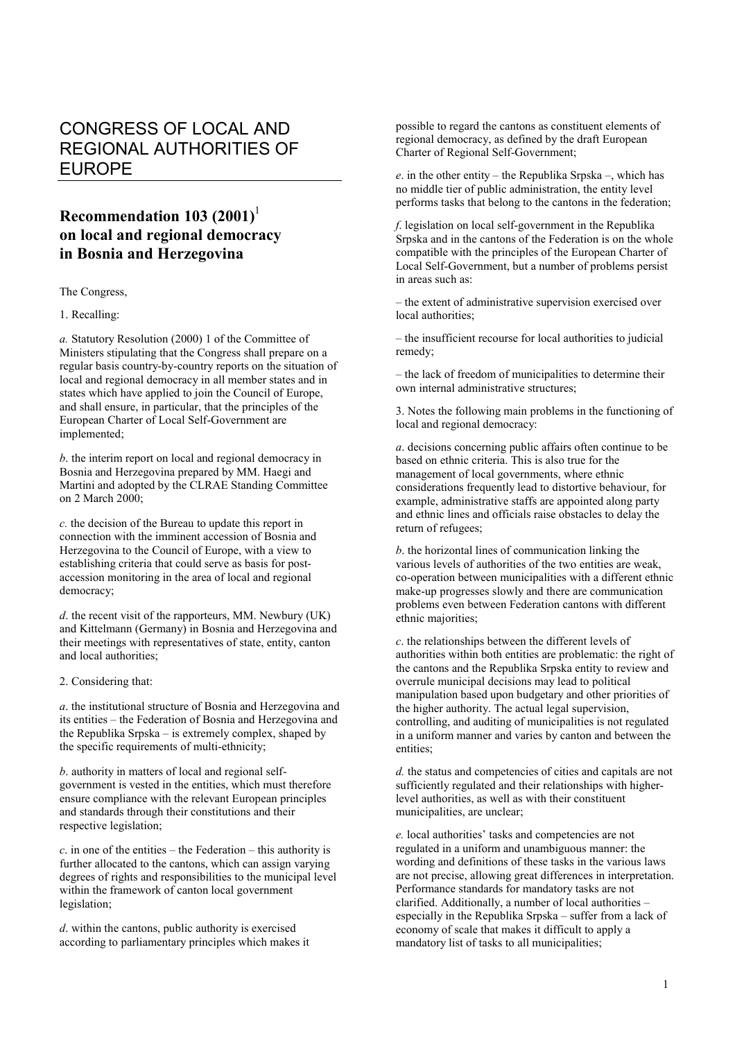## CONGRESS OF LOCAL AND REGIONAL AUTHORITIES OF EUROPE

## **Recommendation 103 (2001)**<sup>1</sup> **on local and regional democracy in Bosnia and Herzegovina**

The Congress,

1. Recalling:

*a.* Statutory Resolution (2000) 1 of the Committee of Ministers stipulating that the Congress shall prepare on a regular basis country-by-country reports on the situation of local and regional democracy in all member states and in states which have applied to join the Council of Europe, and shall ensure, in particular, that the principles of the European Charter of Local Self-Government are implemented;

*b*. the interim report on local and regional democracy in Bosnia and Herzegovina prepared by MM. Haegi and Martini and adopted by the CLRAE Standing Committee on 2 March 2000;

*c.* the decision of the Bureau to update this report in connection with the imminent accession of Bosnia and Herzegovina to the Council of Europe, with a view to establishing criteria that could serve as basis for postaccession monitoring in the area of local and regional democracy;

*d*. the recent visit of the rapporteurs, MM. Newbury (UK) and Kittelmann (Germany) in Bosnia and Herzegovina and their meetings with representatives of state, entity, canton and local authorities;

2. Considering that:

*a*. the institutional structure of Bosnia and Herzegovina and its entities – the Federation of Bosnia and Herzegovina and the Republika Srpska – is extremely complex, shaped by the specific requirements of multi-ethnicity;

*b*. authority in matters of local and regional selfgovernment is vested in the entities, which must therefore ensure compliance with the relevant European principles and standards through their constitutions and their respective legislation;

*c*. in one of the entities – the Federation – this authority is further allocated to the cantons, which can assign varying degrees of rights and responsibilities to the municipal level within the framework of canton local government legislation;

*d*. within the cantons, public authority is exercised according to parliamentary principles which makes it possible to regard the cantons as constituent elements of regional democracy, as defined by the draft European Charter of Regional Self-Government;

*e*. in the other entity – the Republika Srpska –, which has no middle tier of public administration, the entity level performs tasks that belong to the cantons in the federation;

*f*. legislation on local self-government in the Republika Srpska and in the cantons of the Federation is on the whole compatible with the principles of the European Charter of Local Self-Government, but a number of problems persist in areas such as:

– the extent of administrative supervision exercised over local authorities;

– the insufficient recourse for local authorities to judicial remedy;

– the lack of freedom of municipalities to determine their own internal administrative structures;

3. Notes the following main problems in the functioning of local and regional democracy:

*a*. decisions concerning public affairs often continue to be based on ethnic criteria. This is also true for the management of local governments, where ethnic considerations frequently lead to distortive behaviour, for example, administrative staffs are appointed along party and ethnic lines and officials raise obstacles to delay the return of refugees;

*b*. the horizontal lines of communication linking the various levels of authorities of the two entities are weak, co-operation between municipalities with a different ethnic make-up progresses slowly and there are communication problems even between Federation cantons with different ethnic majorities;

*c*. the relationships between the different levels of authorities within both entities are problematic: the right of the cantons and the Republika Srpska entity to review and overrule municipal decisions may lead to political manipulation based upon budgetary and other priorities of the higher authority. The actual legal supervision, controlling, and auditing of municipalities is not regulated in a uniform manner and varies by canton and between the entities;

*d.* the status and competencies of cities and capitals are not sufficiently regulated and their relationships with higherlevel authorities, as well as with their constituent municipalities, are unclear;

*e.* local authorities' tasks and competencies are not regulated in a uniform and unambiguous manner: the wording and definitions of these tasks in the various laws are not precise, allowing great differences in interpretation. Performance standards for mandatory tasks are not clarified. Additionally, a number of local authorities – especially in the Republika Srpska – suffer from a lack of economy of scale that makes it difficult to apply a mandatory list of tasks to all municipalities;